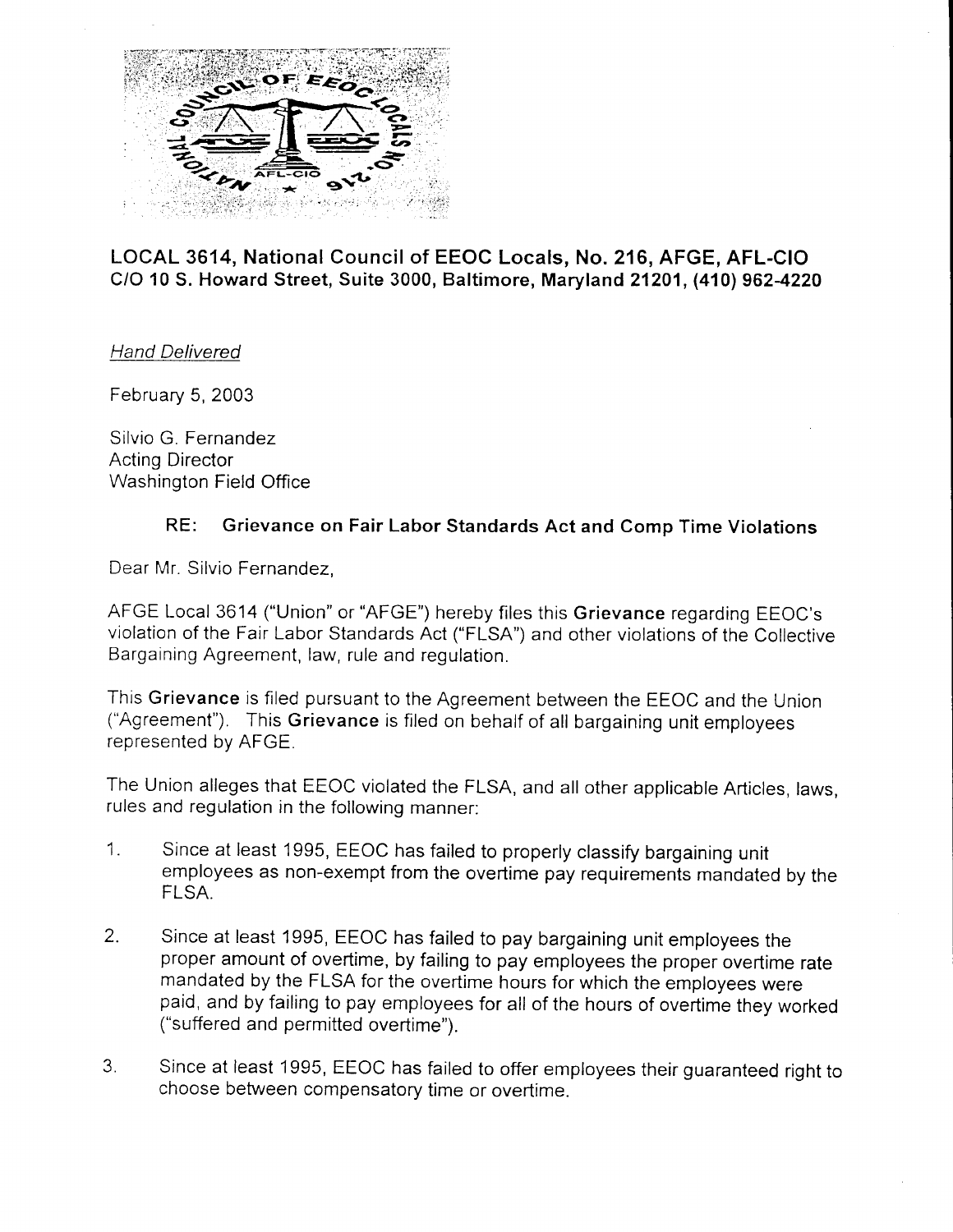

## LOCAL 3614, National Council of EEOC Locals, No. 216, AFGE, AFL-CIO CIO 10 S. Howard Street, Suite 3000, Baltimore, Maryland21201, (410) 9624220

Hand Delivered

February 5, 2003

Silvio G. Fernandez Acting Director Washington Field Office

## RE: Grievance on Fair Labor Standards Act and Comp Time Violations

Dear Mr. Silvio Fernandez,

AFGE Local 3614 ("Union" or "AFGE") hereby files this Grievance regarding EEOC's violation of the Fair Labor Standards Act ("FLSA") and other violations of the Collective Bargaining Agreement, law, rule and regulation.

This Grievance is filed pursuant to the Agreement between the EEOC and the Union ("Agreement"). This Grievance is filed on behalf of all bargaining unit employees represented by AFGE.

The Union alleges that EEOC violated the FLSA, and all other applicable Articles, laws, rules and regulation in the following manner:

- 1. Since at least 1995, EEOC has failed to properly classify bargaining unit employees as non-exempt from the overtime pay requirements mandated by the FLSA.
- 2. Since at least 1995, EEOC has failed to pay bargaining unit employees the proper amount of overtime, by failing to pay employees the proper overtime rate mandated by the FLSA for the overtime hours for which the employees were paid, and by failing to pay employees for all of the hours of overtime they worked ("suffered and permitted overtime").
- 3. Since at least 1995, EEOC has failed to offer employees their guaranteed right to choose between compensatory time or overtime.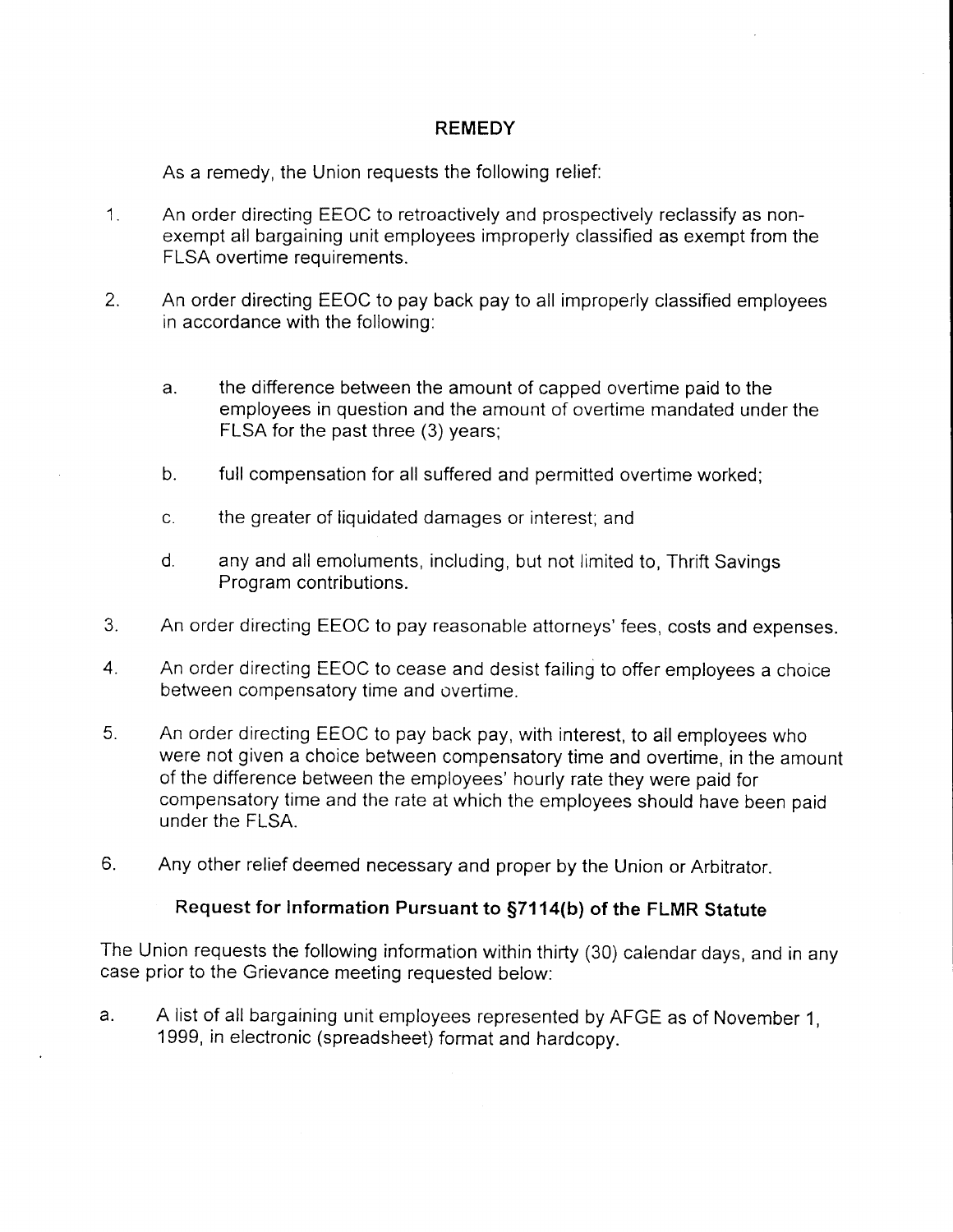## REMEDY

As a remedy, the Union requests the following relief:

- 1. An order directing EEOC to retroactively and prospectively reclassify as nonexempt all bargaining unit employees improperly classified as exempt from the FLSA overtime requirements.
- 2. An order directing EEOC to pay back pay to all improperly classified employees in accordance with the following:
	- a. the difference between the amount of capped overtime paid to the employees in question and the amount of overtime mandated under the FLSA for the past three (3) years;
	- b. full compensation for all suffered and permitted overtime worked;
	- c. the greater of liquidated damages or interest; and
	- d. any and all emoluments, including, but not limited to, Thrift Savings Program contributions.
- 3. An order directing EEOC to pay reasonable attorneys'fees, costs and expenses.
- 4. An order directing EEOC to cease and desist failing to offer employees achoice between compensatory time and overtime.
- 5. An order directing EEOC to pay back pay, with interest, to all employees who were not given a choice between compensatory time and overtime, in the amount of the difference between the employees' hourly rate they were paid for compensatory time and the rate at which the employees should have been paid under the FLSA.
- 6. Any other relief deemed necessary and proper by the Union or Arbitrator.

## Request for Information Pursuant to \$7114(b) of the FLMR Statute

The Union requests the following information within thirty (30) calendar days, and in any case prior to the Grievance meeting requested below:

a. A list of all bargaining unit employees represented by AFGE as of November 1, 1999, in electronic (spreadsheet) format and hardcopy.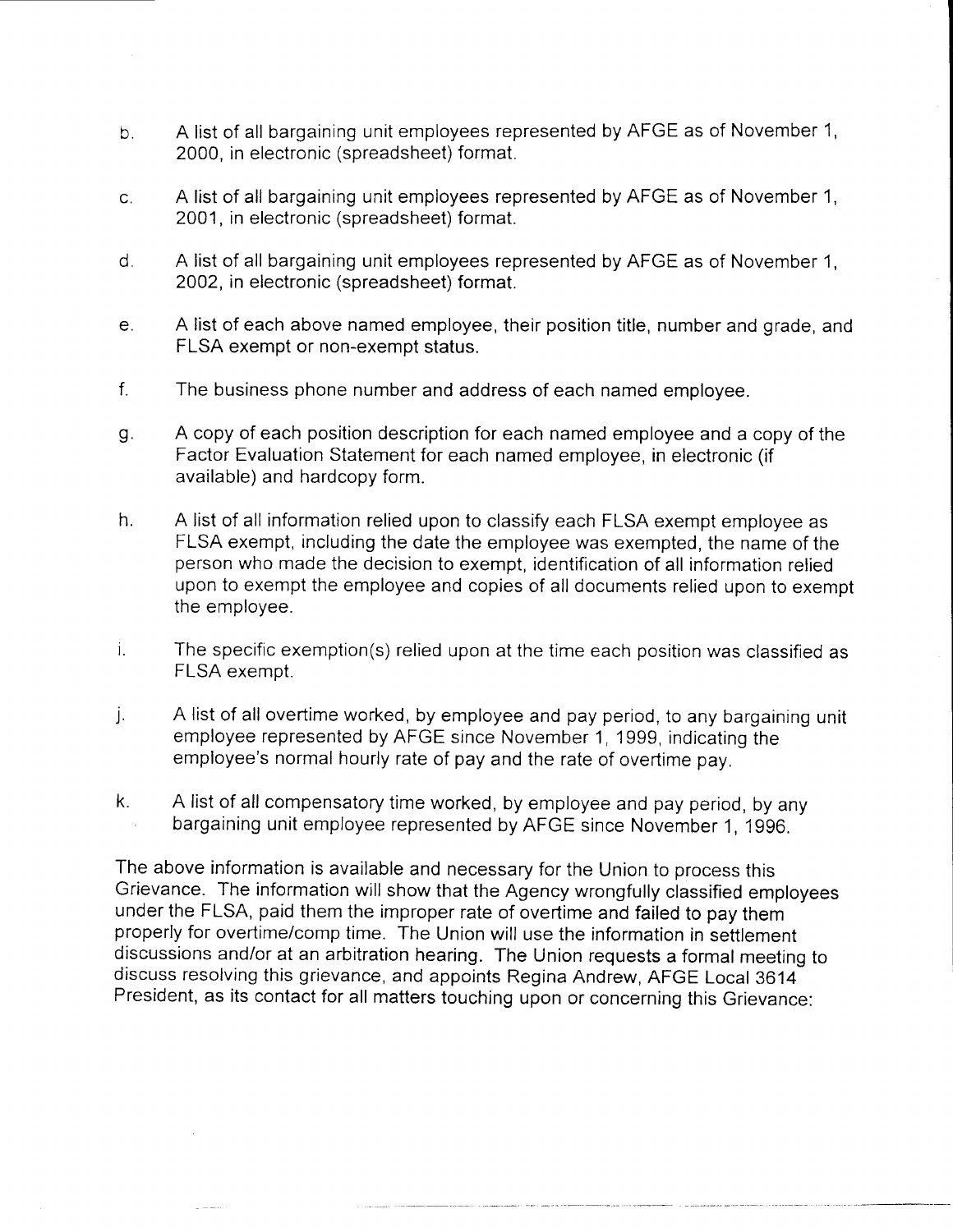- b. A list of all bargaining unit employees represented by AFGE as of November 1, 2000, in electronic (spreadsheet) format.
- c. A list of all bargaining unit employees represented by AFGE as of November I, 2001, in electronic (spreadsheet) format.
- d. A list of all bargaining unit employees represented by AFGE as of November 1, 2002, in electronic (spreadsheet) format.
- e. A list of each above named employee, their position title, number and grade, and FLSA exempt or non-exempt status.
- f. The business phone number and address of each named employee.
- g. A copy of each position description for each named employee and a copy of the Factor Evaluation Statement for each named employee, in electronic (if available) and hardcopy form.
- h. A list of all information relied upon to classify each FLSA exempt employee as FLSA exempt, including the date the employee was exempted, the name of the person who made the decision to exempt, identification of all information relied upon to exempt the employee and copies of all documents relied upon to exempt the employee.
- i. The specific exemption(s) relied upon at the time each position was classified as FLSA exempt.
- j. A list of all overtime worked, by employee and pay period, to any bargaining unit employee represented by AFGE since November 1, 1999, indicating the employee's normal hourly rate of pay and the rate of overtime pay.
- k. A list of all compensatory time worked, by employee and pay period, by any . bargaining unit employee represented by AFGE since November 1, 1996.

The above information is available and necessary for the Union to process this Grievance. The information will show that the Agency wrongfully classified employees under the FLSA, paid them the improper rate of overtime and failed to pay them properly for overtime/comp time. The Union will use the information in settlement discussions and/or at an arbitration hearing. The Union requests a formal meeting to discuss resolving this grievance, and appoints Regina Andrew, AFGE Local 3614 President, as its contact for all matters touching upon or concerning this Grievance: